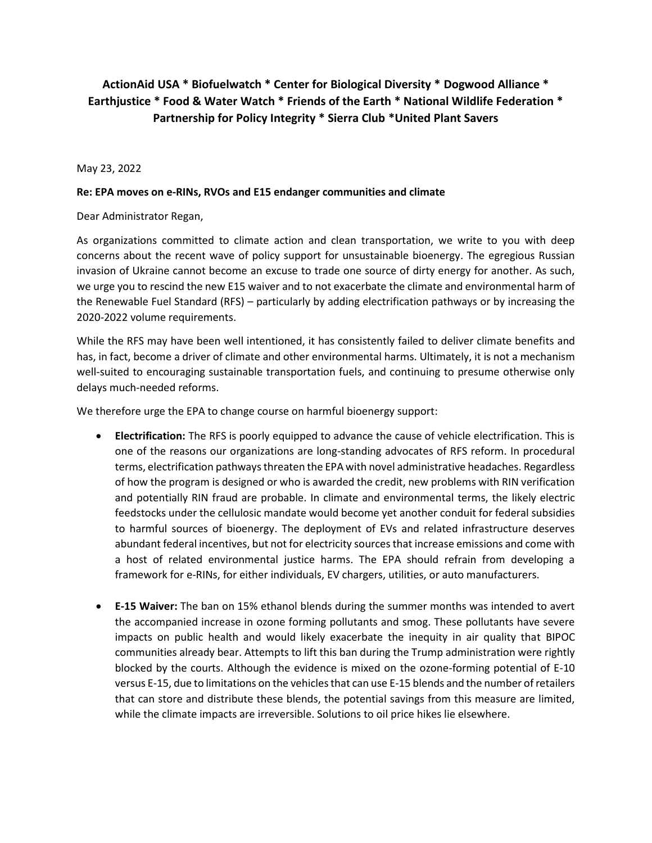## **ActionAid USA \* Biofuelwatch \* Center for Biological Diversity \* Dogwood Alliance \* Earthjustice \* Food & Water Watch \* Friends of the Earth \* National Wildlife Federation \* Partnership for Policy Integrity \* Sierra Club \*United Plant Savers**

May 23, 2022

## **Re: EPA moves on e-RINs, RVOs and E15 endanger communities and climate**

Dear Administrator Regan,

As organizations committed to climate action and clean transportation, we write to you with deep concerns about the recent wave of policy support for unsustainable bioenergy. The egregious Russian invasion of Ukraine cannot become an excuse to trade one source of dirty energy for another. As such, we urge you to rescind the new E15 waiver and to not exacerbate the climate and environmental harm of the Renewable Fuel Standard (RFS) – particularly by adding electrification pathways or by increasing the 2020-2022 volume requirements.

While the RFS may have been well intentioned, it has consistently failed to deliver climate benefits and has, in fact, become a driver of climate and other environmental harms. Ultimately, it is not a mechanism well-suited to encouraging sustainable transportation fuels, and continuing to presume otherwise only delays much-needed reforms.

We therefore urge the EPA to change course on harmful bioenergy support:

- **Electrification:** The RFS is poorly equipped to advance the cause of vehicle electrification. This is one of the reasons our organizations are long-standing advocates of RFS reform. In procedural terms, electrification pathways threaten the EPA with novel administrative headaches. Regardless of how the program is designed or who is awarded the credit, new problems with RIN verification and potentially RIN fraud are probable. In climate and environmental terms, the likely electric feedstocks under the cellulosic mandate would become yet another conduit for federal subsidies to harmful sources of bioenergy. The deployment of EVs and related infrastructure deserves abundant federal incentives, but not for electricity sources that increase emissions and come with a host of related environmental justice harms. The EPA should refrain from developing a framework for e-RINs, for either individuals, EV chargers, utilities, or auto manufacturers.
- **E-15 Waiver:** The ban on 15% ethanol blends during the summer months was intended to avert the accompanied increase in ozone forming pollutants and smog. These pollutants have severe impacts on public health and would likely exacerbate the inequity in air quality that BIPOC communities already bear. Attempts to lift this ban during the Trump administration were rightly blocked by the courts. Although the evidence is mixed on the ozone-forming potential of E-10 versus E-15, due to limitations on the vehicles that can use E-15 blends and the number of retailers that can store and distribute these blends, the potential savings from this measure are limited, while the climate impacts are irreversible. Solutions to oil price hikes lie elsewhere.